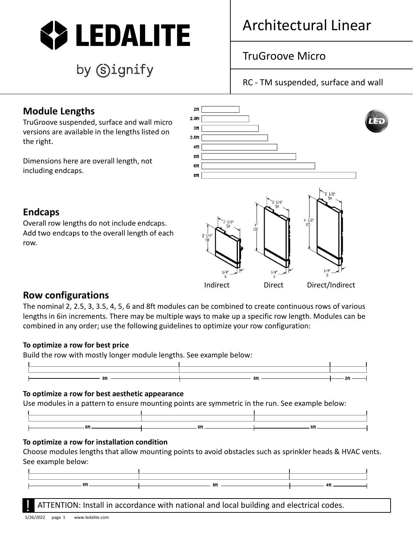

# by Signify

### Architectural Linear

### TruGroove Micro

RC - TM suspended, surface and wall

#### **Module Lengths**

TruGroove suspended, surface and wall micro versions are available in the lengths listed on the right.

Dimensions here are overall length, not including endcaps.



#### **Endcaps**

Overall row lengths do not include endcaps. Add two endcaps to the overall length of each row.



Indirect Direct Direct/Indirect

#### **Row configurations**

The nominal 2, 2.5, 3, 3.5, 4, 5, 6 and 8ft modules can be combined to create continuous rows of various lengths in 6in increments. There may be multiple ways to make up a specific row length. Modules can be combined in any order; use the following guidelines to optimize your row configuration:

#### **To optimize a row for best price**

Build the row with mostly longer module lengths. See example below:



#### **To optimize a row for best aesthetic appearance**

Use modules in a pattern to ensure mounting points are symmetric in the run. See example below:

#### **To optimize a row for installation condition**

Choose modules lengths that allow mounting points to avoid obstacles such as sprinkler heads & HVAC vents. See example below:

| 6Ħ | the contract of the contract of the contract of the contract of the contract of the contract of the contract of |  |
|----|-----------------------------------------------------------------------------------------------------------------|--|
|    |                                                                                                                 |  |

ATTENTION: Install in accordance with national and local building and electrical codes.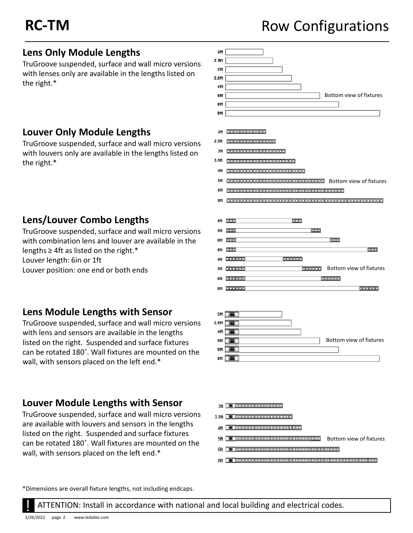## **RC-TM** ROW Configurations

#### **Lens Only Module Lengths**

TruGroove suspended, surface and wall micro versions with lenses only are available in the lengths listed on the right.\*

#### **Louver Only Module Lengths**

TruGroove suspended, surface and wall micro versions with louvers only are available in the lengths listed on the right.\*

#### **Lens/Louver Combo Lengths**

TruGroove suspended, surface and wall micro versions with combination lens and louver are available in the lengths  $\geq 4$ ft as listed on the right.\* Louver length: 6in or 1ft

Louver position: one end or both ends

#### **Lens Module Lengths with Sensor**

TruGroove suspended, surface and wall micro versions with lens and sensors are available in the lengths listed on the right. Suspended and surface fixtures can be rotated 180˚. Wall fixtures are mounted on the wall, with sensors placed on the left end.\*

#### **Louver Module Lengths with Sensor**

TruGroove suspended, surface and wall micro versions are available with louvers and sensors in the lengths listed on the right. Suspended and surface fixtures can be rotated 180˚. Wall fixtures are mounted on the wall, with sensors placed on the left end.\*







#### 3ft **ca** 0000000000000000

- 3.5ft **. 00000000000000000000**
- 4ft **...** 0000000000000000000000000
- 5ft **Bottom Contract Contract Contract Contract** Bottom view of fixtures
- 
- 

\*Dimensions are overall fixture lengths, not including endcaps.

**ATTENTION: Install in accordance with national and local building and electrical codes.**<br>5/26/2022 page 2 www.ledalite.com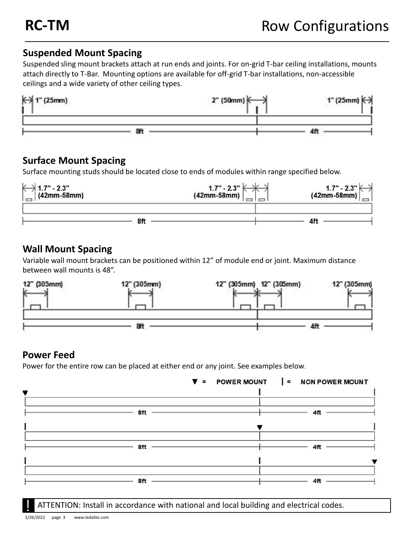#### **Suspended Mount Spacing**

Suspended sling mount brackets attach at run ends and joints. For on-grid T-bar ceiling installations, mounts attach directly to T-Bar. Mounting options are available for off-grid T-bar installations, non-accessible ceilings and a wide variety of other ceiling types.



#### **Surface Mount Spacing**

Surface mounting studs should be located close to ends of modules within range specified below.

| ´→ 1.7" - 2.3"<br>(42mm-58mm) | $1.7" - 2.3"$<br>(42mm-58mm) | $1.7" - 2.3" (-42mm-58mm)$ |
|-------------------------------|------------------------------|----------------------------|
|                               |                              |                            |
|                               |                              |                            |

#### **Wall Mount Spacing**

Variable wall mount brackets can be positioned within 12" of module end or joint. Maximum distance between wall mounts is 48".



#### **Power Feed**

Power for the entire row can be placed at either end or any joint. See examples below.



ATTENTION: Install in accordance with national and local building and electrical codes.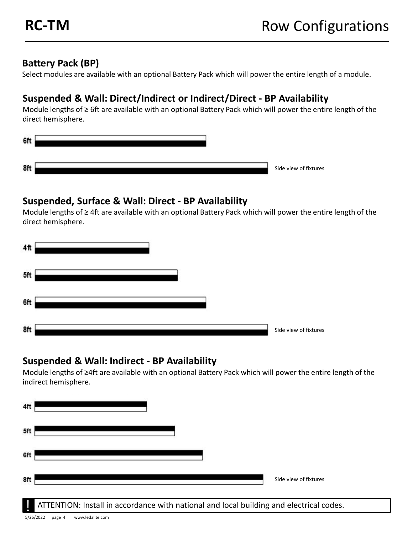#### **Battery Pack (BP)**

Select modules are available with an optional Battery Pack which will power the entire length of a module.

#### **Suspended & Wall: Direct/Indirect or Indirect/Direct - BP Availability**

Module lengths of ≥ 6ft are available with an optional Battery Pack which will power the entire length of the direct hemisphere.

| 6ft |                       |
|-----|-----------------------|
| 8ft | Side view of fixtures |

#### **Suspended, Surface & Wall: Direct - BP Availability**

Module lengths of ≥ 4ft are available with an optional Battery Pack which will power the entire length of the direct hemisphere.

| 4ft |                       |
|-----|-----------------------|
| 5ft |                       |
| 6ft |                       |
| 8ft | Side view of fixtures |

#### **Suspended & Wall: Indirect - BP Availability**

Module lengths of ≥4ft are available with an optional Battery Pack which will power the entire length of the indirect hemisphere.

| 4ft |                       |
|-----|-----------------------|
| 5ft |                       |
| 6ft |                       |
| 8ft | Side view of fixtures |

ATTENTION: Install in accordance with national and local building and electrical codes.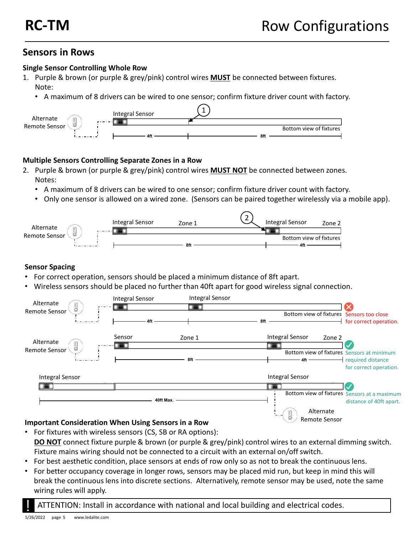#### **Sensors in Rows**

#### **Single Sensor Controlling Whole Row**

- 1. Purple & brown (or purple & grey/pink) control wires **MUST** be connected between fixtures. Note:
	- A maximum of 8 drivers can be wired to one sensor; confirm fixture driver count with factory.



#### **Multiple Sensors Controlling Separate Zones in a Row**

- 2. Purple & brown (or purple & grey/pink) control wires **MUST NOT** be connected between zones. Notes:
	- A maximum of 8 drivers can be wired to one sensor; confirm fixture driver count with factory.
	- Only one sensor is allowed on a wired zone. (Sensors can be paired together wirelessly via a mobile app).

|                            | Integral Sensor | Zone 1 | ∽<br>∸<br>Integral Sensor<br>Zone 2 |
|----------------------------|-----------------|--------|-------------------------------------|
| Alternate<br>$\frac{1}{2}$ | - - - - - - 1   |        |                                     |
| Remote Sensor              |                 |        | Bottom view of fixtures             |
|                            |                 | 8ft    | 41 L                                |

#### **Sensor Spacing**

- For correct operation, sensors should be placed a minimum distance of 8ft apart.
- Wireless sensors should be placed no further than 40ft apart for good wireless signal connection.



#### **Important Consideration When Using Sensors in a Row**

- For fixtures with wireless sensors (CS, SB or RA options): **DO NOT** connect fixture purple & brown (or purple & grey/pink) control wires to an external dimming switch. Fixture mains wiring should not be connected to a circuit with an external on/off switch.
- For best aesthetic condition, place sensors at ends of row only so as not to break the continuous lens.
- For better occupancy coverage in longer rows, sensors may be placed mid run, but keep in mind this will break the continuous lens into discrete sections. Alternatively, remote sensor may be used, note the same wiring rules will apply.

! ATTENTION: Install in accordance with national and local building and electrical codes.